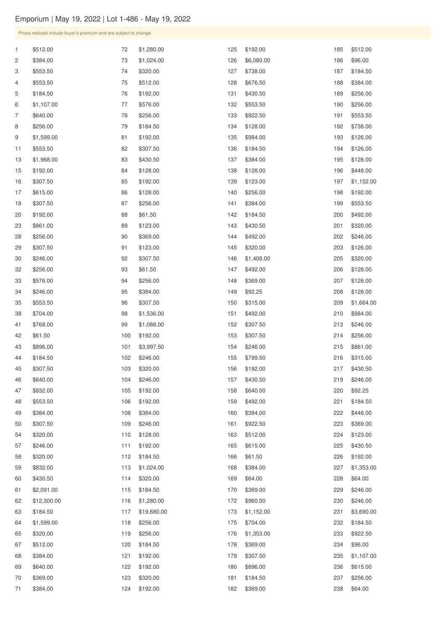\$320.00

\$184.50

Prices realized include buyer's premium and are subject to change. \$512.00 \$384.00 \$553.50 \$553.50 \$184.50 \$1,107.00 \$640.00 \$256.00 \$1,599.00 \$553.50 \$1,968.00 \$192.00 \$307.50 \$615.00 \$307.50 \$192.00 \$861.00 \$256.00 \$307.50 \$246.00 \$256.00 \$576.00 \$246.00 \$553.50 \$704.00 \$768.00 \$61.50 \$896.00 \$184.50 \$307.50 \$640.00 \$832.00 \$553.50 \$384.00 \$307.50 \$320.00 \$246.00 \$1,280.00 \$1,024.00 \$320.00 \$512.00 \$192.00 \$576.00 \$256.00 \$184.50 \$192.00 \$307.50 \$430.50 \$128.00 \$192.00 \$128.00 \$256.00 \$61.50 \$123.00 \$369.00 \$123.00 \$307.50 \$61.50 \$256.00 \$384.00 \$307.50 \$1,536.00 \$1,088.00 \$192.00 \$3,997.50 \$246.00 \$320.00 \$246.00 \$192.00 \$192.00 \$384.00 \$246.00 \$128.00 \$192.00 \$192.00 \$6,080.00 \$738.00 \$676.50 \$430.50 \$553.50 \$922.50 \$128.00 \$984.00 \$184.50 \$384.00 \$128.00 \$123.00 \$256.00 \$384.00 \$184.50 \$430.50 \$492.00 \$320.00 \$1,408.00 \$492.00 \$369.00 \$92.25 \$315.00 \$492.00 \$307.50 \$307.50 \$246.00 \$799.50 \$192.00 \$430.50 \$640.00 \$492.00 \$384.00 \$922.50 \$512.00 \$615.00 \$512.00 \$96.00 \$184.50 \$384.00 \$256.00 \$256.00 \$553.50 \$738.00 \$126.00 \$126.00 \$128.00 \$448.00 \$1,152.00 \$192.00 \$553.50 \$492.00 \$320.00 \$246.00 \$126.00 \$320.00 \$128.00 \$128.00 \$128.00 \$1,664.00 \$984.00 \$246.00 \$256.00 \$861.00 \$315.00 \$430.50 \$246.00 \$92.25 \$184.50 \$448.00 \$369.00 \$123.00 \$430.50

 \$832.00 \$1,024.00 \$384.00 \$1,353.00

| 60 | \$430.50    | 114 | \$320.00    | 169 | \$64.00    | 228 | \$64.00    |
|----|-------------|-----|-------------|-----|------------|-----|------------|
| 61 | \$2,091.00  | 115 | \$184.50    | 170 | \$369.00   | 229 | \$246.00   |
| 62 | \$12,300.00 | 116 | \$1,280.00  | 172 | \$960.00   | 230 | \$246.00   |
| 63 | \$184.50    | 117 | \$19,680.00 | 173 | \$1,152.00 | 231 | \$3,690.00 |
| 64 | \$1,599.00  | 118 | \$256.00    | 175 | \$704.00   | 232 | \$184.50   |
| 65 | \$320.00    | 119 | \$256.00    | 176 | \$1,353.00 | 233 | \$922.50   |
| 67 | \$512.00    | 120 | \$184.50    | 178 | \$369.00   | 234 | \$96.00    |
| 68 | \$384.00    | 121 | \$192.00    | 179 | \$307.50   | 235 | \$1,107.00 |
| 69 | \$640.00    | 122 | \$192.00    | 180 | \$896.00   | 236 | \$615.00   |
| 70 | \$369.00    | 123 | \$320.00    | 181 | \$184.50   | 237 | \$256.00   |
| 71 | \$384.00    | 124 | \$192.00    | 182 | \$369.00   | 238 | \$64.00    |

\$61.50

\$192.00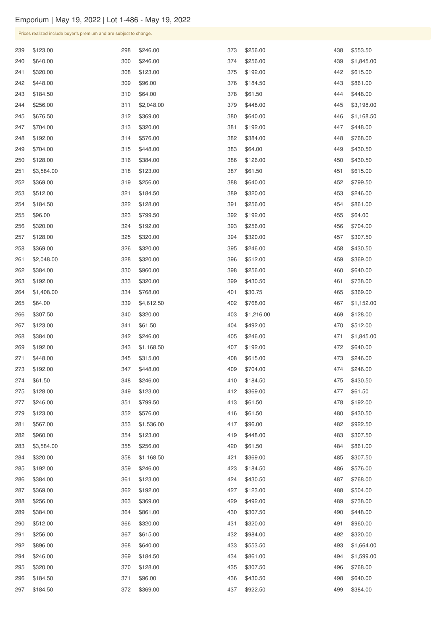\$3,584.00 \$320.00

\$192.00

 \$256.00 \$1,168.50

\$246.00

|     | Prices realized include buyer's premium and are subject to change. |     |            |     |            |     |            |
|-----|--------------------------------------------------------------------|-----|------------|-----|------------|-----|------------|
| 239 | \$123.00                                                           | 298 | \$246.00   | 373 | \$256.00   | 438 | \$553.50   |
| 240 | \$640.00                                                           | 300 | \$246.00   | 374 | \$256.00   | 439 | \$1,845.00 |
| 241 | \$320.00                                                           | 308 | \$123.00   | 375 | \$192.00   | 442 | \$615.00   |
| 242 | \$448.00                                                           | 309 | \$96.00    | 376 | \$184.50   | 443 | \$861.00   |
| 243 | \$184.50                                                           | 310 | \$64.00    | 378 | \$61.50    | 444 | \$448.00   |
| 244 | \$256.00                                                           | 311 | \$2,048.00 | 379 | \$448.00   | 445 | \$3,198.00 |
| 245 | \$676.50                                                           | 312 | \$369.00   | 380 | \$640.00   | 446 | \$1,168.50 |
| 247 | \$704.00                                                           | 313 | \$320.00   | 381 | \$192.00   | 447 | \$448.00   |
| 248 | \$192.00                                                           | 314 | \$576.00   | 382 | \$384.00   | 448 | \$768.00   |
| 249 | \$704.00                                                           | 315 | \$448.00   | 383 | \$64.00    | 449 | \$430.50   |
| 250 | \$128.00                                                           | 316 | \$384.00   | 386 | \$126.00   | 450 | \$430.50   |
| 251 | \$3,584.00                                                         | 318 | \$123.00   | 387 | \$61.50    | 451 | \$615.00   |
| 252 | \$369.00                                                           | 319 | \$256.00   | 388 | \$640.00   | 452 | \$799.50   |
| 253 | \$512.00                                                           | 321 | \$184.50   | 389 | \$320.00   | 453 | \$246.00   |
| 254 | \$184.50                                                           | 322 | \$128.00   | 391 | \$256.00   | 454 | \$861.00   |
| 255 | \$96.00                                                            | 323 | \$799.50   | 392 | \$192.00   | 455 | \$64.00    |
| 256 | \$320.00                                                           | 324 | \$192.00   | 393 | \$256.00   | 456 | \$704.00   |
| 257 | \$128.00                                                           | 325 | \$320.00   | 394 | \$320.00   | 457 | \$307.50   |
| 258 | \$369.00                                                           | 326 | \$320.00   | 395 | \$246.00   | 458 | \$430.50   |
| 261 | \$2,048.00                                                         | 328 | \$320.00   | 396 | \$512.00   | 459 | \$369.00   |
| 262 | \$384.00                                                           | 330 | \$960.00   | 398 | \$256.00   | 460 | \$640.00   |
| 263 | \$192.00                                                           | 333 | \$320.00   | 399 | \$430.50   | 461 | \$738.00   |
| 264 | \$1,408.00                                                         | 334 | \$768.00   | 401 | \$30.75    | 465 | \$369.00   |
| 265 | \$64.00                                                            | 339 | \$4,612.50 | 402 | \$768.00   | 467 | \$1,152.00 |
| 266 | \$307.50                                                           | 340 | \$320.00   | 403 | \$1,216.00 | 469 | \$128.00   |
| 267 | \$123.00                                                           | 341 | \$61.50    | 404 | \$492.00   | 470 | \$512.00   |
| 268 | \$384.00                                                           | 342 | \$246.00   | 405 | \$246.00   | 471 | \$1,845.00 |
| 269 | \$192.00                                                           | 343 | \$1,168.50 | 407 | \$192.00   | 472 | \$640.00   |
| 271 | \$448.00                                                           | 345 | \$315.00   | 408 | \$615.00   | 473 | \$246.00   |
| 273 | \$192.00                                                           | 347 | \$448.00   | 409 | \$704.00   | 474 | \$246.00   |
| 274 | \$61.50                                                            | 348 | \$246.00   | 410 | \$184.50   | 475 | \$430.50   |
| 275 | \$128.00                                                           | 349 | \$123.00   | 412 | \$369.00   | 477 | \$61.50    |
| 277 | \$246.00                                                           | 351 | \$799.50   | 413 | \$61.50    | 478 | \$192.00   |
| 279 | \$123.00                                                           | 352 | \$576.00   | 416 | \$61.50    | 480 | \$430.50   |
| 281 | \$567.00                                                           | 353 | \$1,536.00 | 417 | \$96.00    | 482 | \$922.50   |
| 282 | \$960.00                                                           | 354 | \$123.00   | 419 | \$448.00   | 483 | \$307.50   |

| 286 | \$384.00 | 361 | \$123.00 | 424 | \$430.50 | 487 | \$768.00   |
|-----|----------|-----|----------|-----|----------|-----|------------|
| 287 | \$369.00 | 362 | \$192.00 | 427 | \$123.00 | 488 | \$504.00   |
| 288 | \$256.00 | 363 | \$369.00 | 429 | \$492.00 | 489 | \$738.00   |
| 289 | \$384.00 | 364 | \$861.00 | 430 | \$307.50 | 490 | \$448.00   |
| 290 | \$512.00 | 366 | \$320.00 | 431 | \$320.00 | 491 | \$960.00   |
| 291 | \$256.00 | 367 | \$615.00 | 432 | \$984.00 | 492 | \$320.00   |
| 292 | \$896.00 | 368 | \$640.00 | 433 | \$553.50 | 493 | \$1,664.00 |
| 294 | \$246.00 | 369 | \$184.50 | 434 | \$861.00 | 494 | \$1,599.00 |
| 295 | \$320.00 | 370 | \$128.00 | 435 | \$307.50 | 496 | \$768.00   |
| 296 | \$184.50 | 371 | \$96.00  | 436 | \$430.50 | 498 | \$640.00   |
| 297 | \$184.50 | 372 | \$369.00 | 437 | \$922.50 | 499 | \$384.00   |

\$61.50

\$369.00

\$184.50

 \$861.00 \$307.50

\$576.00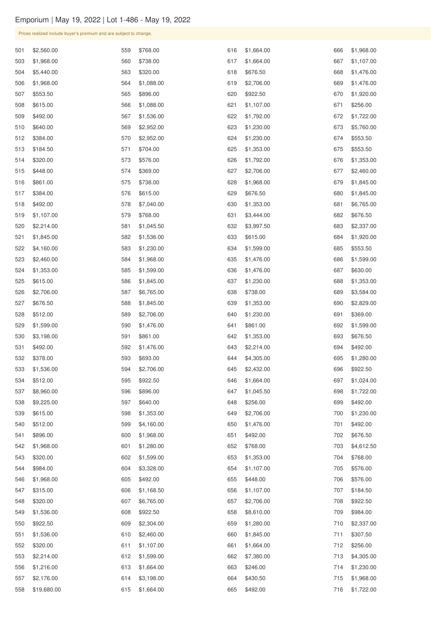| Prices realized include buyer's premium and are subject to change. |  |  |
|--------------------------------------------------------------------|--|--|
|                                                                    |  |  |

| 501 | \$2,560.00  | 559 | \$768.00   | 616 | \$1,664.00 | 666 | \$1,968.00 |
|-----|-------------|-----|------------|-----|------------|-----|------------|
| 503 | \$1,968.00  | 560 | \$738.00   | 617 | \$1,664.00 | 667 | \$1,107.00 |
| 504 | \$5,440.00  | 563 | \$320.00   | 618 | \$676.50   | 668 | \$1,476.00 |
| 506 | \$1,968.00  | 564 | \$1,088.00 | 619 | \$2,706.00 | 669 | \$1,476.00 |
| 507 | \$553.50    | 565 | \$896.00   | 620 | \$922.50   | 670 | \$1,920.00 |
| 508 | \$615.00    | 566 | \$1,088.00 | 621 | \$1,107.00 | 671 | \$256.00   |
| 509 | \$492.00    | 567 | \$1,536.00 | 622 | \$1,792.00 | 672 | \$1,722.00 |
| 510 | \$640.00    | 569 | \$2,952.00 | 623 | \$1,230.00 | 673 | \$5,760.00 |
| 512 | \$384.00    | 570 | \$2,952.00 | 624 | \$1,230.00 | 674 | \$553.50   |
| 513 | \$184.50    | 571 | \$704.00   | 625 | \$1,353.00 | 675 | \$553.50   |
| 514 | \$320.00    | 573 | \$576.00   | 626 | \$1,792.00 | 676 | \$1,353.00 |
| 515 | \$448.00    | 574 | \$369.00   | 627 | \$2,706.00 | 677 | \$2,460.00 |
| 516 | \$861.00    | 575 | \$738.00   | 628 | \$1,968.00 | 679 | \$1,845.00 |
| 517 | \$384.00    | 576 | \$615.00   | 629 | \$676.50   | 680 | \$1,845.00 |
| 518 | \$492.00    | 578 | \$7,040.00 | 630 | \$1,353.00 | 681 | \$6,765.00 |
| 519 | \$1,107.00  | 579 | \$768.00   | 631 | \$3,444.00 | 682 | \$676.50   |
| 520 | \$2,214.00  | 581 | \$1,045.50 | 632 | \$3,997.50 | 683 | \$2,337.00 |
| 521 | \$1,845.00  | 582 | \$1,536.00 | 633 | \$615.00   | 684 | \$1,920.00 |
| 522 | \$4,160.00  | 583 | \$1,230.00 | 634 | \$1,599.00 | 685 | \$553.50   |
| 523 | \$2,460.00  | 584 | \$1,968.00 | 635 | \$1,476.00 | 686 | \$1,599.00 |
| 524 | \$1,353.00  | 585 | \$1,599.00 | 636 | \$1,476.00 | 687 | \$630.00   |
| 525 | \$615.00    | 586 | \$1,845.00 | 637 | \$1,230.00 | 688 | \$1,353.00 |
| 526 | \$2,706.00  | 587 | \$6,765.00 | 638 | \$738.00   | 689 | \$3,584.00 |
| 527 | \$676.50    | 588 | \$1,845.00 | 639 | \$1,353.00 | 690 | \$2,829.00 |
| 528 | \$512.00    | 589 | \$2,706.00 | 640 | \$1,230.00 | 691 | \$369.00   |
| 529 | \$1,599.00  | 590 | \$1,476.00 | 641 | \$861.00   | 692 | \$1,599.00 |
| 530 | \$3,198.00  | 591 | \$861.00   | 642 | \$1,353.00 | 693 | \$676.50   |
| 531 | \$492.00    | 592 | \$1,476.00 | 643 | \$2,214.00 | 694 | \$492.00   |
| 532 | \$378.00    | 593 | \$693.00   | 644 | \$4,305.00 | 695 | \$1,280.00 |
| 533 | \$1,536.00  | 594 | \$2,706.00 | 645 | \$2,432.00 | 696 | \$922.50   |
| 534 | \$512.00    | 595 | \$922.50   | 646 | \$1,664.00 | 697 | \$1,024.00 |
| 537 | \$8,960.00  | 596 | \$896.00   | 647 | \$1,045.50 | 698 | \$1,722.00 |
| 538 | \$9,225.00  | 597 | \$640.00   | 648 | \$256.00   | 699 | \$492.00   |
| 539 | \$615.00    | 598 | \$1,353.00 | 649 | \$2,706.00 | 700 | \$1,230.00 |
| 540 | \$512.00    | 599 | \$4,160.00 | 650 | \$1,476.00 | 701 | \$492.00   |
| 541 | \$896.00    | 600 | \$1,968.00 | 651 | \$492.00   | 702 | \$676.50   |
| 542 | \$1,968.00  | 601 | \$1,280.00 | 652 | \$768.00   | 703 | \$4,612.50 |
| 543 | \$320.00    | 602 | \$1,599.00 | 653 | \$1,353.00 | 704 | \$768.00   |
| 544 | \$984.00    | 604 | \$3,328.00 | 654 | \$1,107.00 | 705 | \$576.00   |
| 546 | \$1,968.00  | 605 | \$492.00   | 655 | \$448.00   | 706 | \$576.00   |
| 547 | \$315.00    | 606 | \$1,168.50 | 656 | \$1,107.00 | 707 | \$184.50   |
| 548 | \$320.00    | 607 | \$6,765.00 | 657 | \$2,706.00 | 708 | \$922.50   |
| 549 | \$1,536.00  | 608 | \$922.50   | 658 | \$8,610.00 | 709 | \$984.00   |
| 550 | \$922.50    | 609 | \$2,304.00 | 659 | \$1,280.00 | 710 | \$2,337.00 |
| 551 | \$1,536.00  | 610 | \$2,460.00 | 660 | \$1,845.00 | 711 | \$307.50   |
| 552 | \$320.00    | 611 | \$1,107.00 | 661 | \$1,664.00 | 712 | \$256.00   |
| 553 | \$2,214.00  | 612 | \$1,599.00 | 662 | \$7,380.00 | 713 | \$4,305.00 |
| 556 | \$1,216.00  | 613 | \$1,664.00 | 663 | \$246.00   | 714 | \$1,230.00 |
| 557 | \$2,176.00  | 614 | \$3,198.00 | 664 | \$430.50   | 715 | \$1,968.00 |
| 558 | \$19,680.00 | 615 | \$1,664.00 | 665 | \$492.00   | 716 | \$1,722.00 |
|     |             |     |            |     |            |     |            |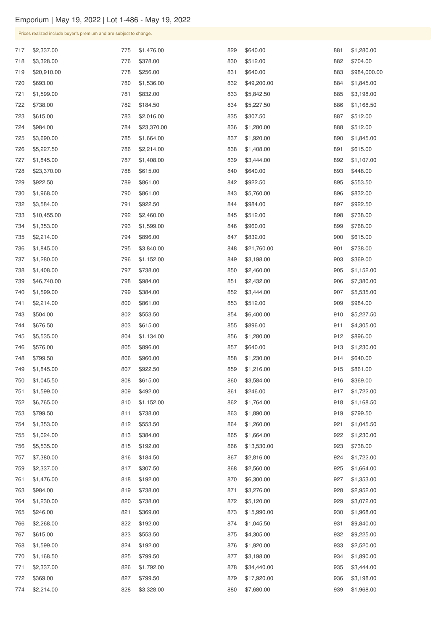| Prices realized include buyer's premium and are subject to change. |  |  |
|--------------------------------------------------------------------|--|--|
|                                                                    |  |  |

| 717 | \$2,337.00  | 775 | \$1,476.00  | 829 | \$640.00    | 881 | \$1,280.00   |
|-----|-------------|-----|-------------|-----|-------------|-----|--------------|
| 718 | \$3,328.00  | 776 | \$378.00    | 830 | \$512.00    | 882 | \$704.00     |
| 719 | \$20,910.00 | 778 | \$256.00    | 831 | \$640.00    | 883 | \$984,000.00 |
| 720 | \$693.00    | 780 | \$1,536.00  | 832 | \$49,200.00 | 884 | \$1,845.00   |
| 721 | \$1,599.00  | 781 | \$832.00    | 833 | \$5,842.50  | 885 | \$3,198.00   |
| 722 | \$738.00    | 782 | \$184.50    | 834 | \$5,227.50  | 886 | \$1,168.50   |
| 723 | \$615.00    | 783 | \$2,016.00  | 835 | \$307.50    | 887 | \$512.00     |
| 724 | \$984.00    | 784 | \$23,370.00 | 836 | \$1,280.00  | 888 | \$512.00     |
| 725 | \$3,690.00  | 785 | \$1,664.00  | 837 | \$1,920.00  | 890 | \$1,845.00   |
| 726 | \$5,227.50  | 786 | \$2,214.00  | 838 | \$1,408.00  | 891 | \$615.00     |
| 727 | \$1,845.00  | 787 | \$1,408.00  | 839 | \$3,444.00  | 892 | \$1,107.00   |
| 728 | \$23,370.00 | 788 | \$615.00    | 840 | \$640.00    | 893 | \$448.00     |
| 729 | \$922.50    | 789 | \$861.00    | 842 | \$922.50    | 895 | \$553.50     |
| 730 | \$1,968.00  | 790 | \$861.00    | 843 | \$5,760.00  | 896 | \$832.00     |
| 732 | \$3,584.00  | 791 | \$922.50    | 844 | \$984.00    | 897 | \$922.50     |
| 733 | \$10,455.00 | 792 | \$2,460.00  | 845 | \$512.00    | 898 | \$738.00     |
| 734 | \$1,353.00  | 793 | \$1,599.00  | 846 | \$960.00    | 899 | \$768.00     |
| 735 | \$2,214.00  | 794 | \$896.00    | 847 | \$832.00    | 900 | \$615.00     |
| 736 | \$1,845.00  | 795 | \$3,840.00  | 848 | \$21,760.00 | 901 | \$738.00     |
| 737 | \$1,280.00  | 796 | \$1,152.00  | 849 | \$3,198.00  | 903 | \$369.00     |
| 738 | \$1,408.00  | 797 | \$738.00    | 850 | \$2,460.00  | 905 | \$1,152.00   |
| 739 | \$46,740.00 | 798 | \$984.00    | 851 | \$2,432.00  | 906 | \$7,380.00   |
| 740 | \$1,599.00  | 799 | \$384.00    | 852 | \$3,444.00  | 907 | \$5,535.00   |
| 741 | \$2,214.00  | 800 | \$861.00    | 853 | \$512.00    | 909 | \$984.00     |
| 743 | \$504.00    | 802 | \$553.50    | 854 | \$6,400.00  | 910 | \$5,227.50   |
| 744 | \$676.50    | 803 | \$615.00    | 855 | \$896.00    | 911 | \$4,305.00   |
| 745 | \$5,535.00  | 804 | \$1,134.00  | 856 | \$1,280.00  | 912 | \$896.00     |
| 746 | \$576.00    | 805 | \$896.00    | 857 | \$640.00    | 913 | \$1,230.00   |
| 748 | \$799.50    | 806 | \$960.00    | 858 | \$1,230.00  | 914 | \$640.00     |
| 749 | \$1,845.00  | 807 | \$922.50    | 859 | \$1,216.00  | 915 | \$861.00     |
| 750 | \$1,045.50  | 808 | \$615.00    | 860 | \$3,584.00  | 916 | \$369.00     |
| 751 | \$1,599.00  | 809 | \$492.00    | 861 | \$246.00    | 917 | \$1,722.00   |
| 752 | \$6,765.00  | 810 | \$1,152.00  | 862 | \$1,764.00  | 918 | \$1,168.50   |
| 753 | \$799.50    | 811 | \$738.00    | 863 | \$1,890.00  | 919 | \$799.50     |
| 754 | \$1,353.00  | 812 | \$553.50    | 864 | \$1,260.00  | 921 | \$1,045.50   |
| 755 | \$1,024.00  | 813 | \$384.00    | 865 | \$1,664.00  | 922 | \$1,230.00   |
| 756 | \$5,535.00  | 815 | \$192.00    | 866 | \$13,530.00 | 923 | \$738.00     |
| 757 | \$7,380.00  | 816 | \$184.50    | 867 | \$2,816.00  | 924 | \$1,722.00   |
| 759 | \$2,337.00  | 817 | \$307.50    | 868 | \$2,560.00  | 925 | \$1,664.00   |
| 761 | \$1,476.00  | 818 | \$192.00    | 870 | \$6,300.00  | 927 | \$1,353.00   |
| 763 | \$984.00    | 819 | \$738.00    | 871 | \$3,276.00  | 928 | \$2,952.00   |
| 764 | \$1,230.00  | 820 | \$738.00    | 872 | \$5,120.00  | 929 | \$3,072.00   |
| 765 | \$246.00    | 821 | \$369.00    | 873 | \$15,990.00 | 930 | \$1,968.00   |
| 766 | \$2,268.00  | 822 | \$192.00    | 874 | \$1,045.50  | 931 | \$9,840.00   |
| 767 | \$615.00    | 823 | \$553.50    | 875 | \$4,305.00  | 932 | \$9,225.00   |
| 768 | \$1,599.00  | 824 | \$192.00    | 876 | \$1,920.00  | 933 | \$2,520.00   |
| 770 | \$1,168.50  | 825 | \$799.50    | 877 | \$3,198.00  | 934 | \$1,890.00   |
| 771 | \$2,337.00  | 826 | \$1,792.00  | 878 | \$34,440.00 | 935 | \$3,444.00   |
| 772 | \$369.00    | 827 | \$799.50    | 879 | \$17,920.00 | 936 | \$3,198.00   |
| 774 | \$2,214.00  | 828 | \$3,328.00  | 880 | \$7,680.00  | 939 | \$1,968.00   |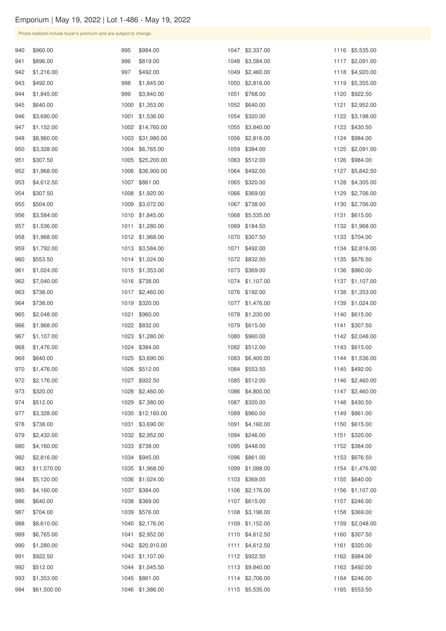Prices realized include buyer's premium and are subject to change.

| 940 | \$960.00    | 995  | \$984.00         |      | 1047 \$2,337.00 |      | 1116 \$5,535.00 |
|-----|-------------|------|------------------|------|-----------------|------|-----------------|
| 941 | \$896.00    | 996  | \$819.00         | 1048 | \$3,584.00      |      | 1117 \$2,091.00 |
| 942 | \$1,216.00  | 997  | \$492.00         | 1049 | \$2,460.00      |      | 1118 \$4,920.00 |
| 943 | \$492.00    | 998  | \$1,845.00       | 1050 | \$2,816.00      | 1119 | \$5,355.00      |
| 944 | \$1,845.00  | 999  | \$3,840.00       | 1051 | \$768.00        | 1120 | \$922.50        |
| 945 | \$640.00    | 1000 | \$1,353.00       | 1052 | \$640.00        | 1121 | \$2,952.00      |
| 946 | \$3,690.00  | 1001 | \$1,536.00       | 1054 | \$320.00        |      | 1122 \$3,198.00 |
| 947 | \$1,152.00  | 1002 | \$14,760.00      | 1055 | \$3,840.00      |      | 1123 \$430.50   |
| 948 | \$8,960.00  | 1003 | \$31,980.00      | 1056 | \$2,816.00      |      | 1124 \$984.00   |
| 950 | \$3,328.00  | 1004 | \$6,765.00       | 1059 | \$384.00        | 1125 | \$2,091.00      |
| 951 | \$307.50    | 1005 | \$25,200.00      | 1063 | \$512.00        | 1126 | \$984.00        |
| 952 | \$1,968.00  | 1006 | \$36,900.00      | 1064 | \$492.00        | 1127 | \$5,842.50      |
| 953 | \$4,612.50  | 1007 | \$861.00         | 1065 | \$320.00        |      | 1128 \$4,305.00 |
| 954 | \$307.50    | 1008 | \$1,920.00       | 1066 | \$369.00        | 1129 | \$2,706.00      |
| 955 | \$504.00    | 1009 | \$3,072.00       | 1067 | \$738.00        |      | 1130 \$2,706.00 |
| 956 | \$3,584.00  | 1010 | \$1,845.00       | 1068 | \$5,535.00      | 1131 | \$615.00        |
| 957 | \$1,536.00  | 1011 | \$1,280.00       | 1069 | \$184.50        |      | 1132 \$1,968.00 |
| 958 | \$1,968.00  | 1012 | \$1,968.00       | 1070 | \$307.50        |      | 1133 \$704.00   |
| 959 | \$1,792.00  | 1013 | \$3,584.00       | 1071 | \$492.00        |      | 1134 \$2,816.00 |
| 960 | \$553.50    | 1014 | \$1,024.00       | 1072 | \$832.00        | 1135 | \$676.50        |
| 961 | \$1,024.00  |      | 1015 \$1,353.00  |      | 1073 \$369.00   |      | 1136 \$960.00   |
| 962 | \$7,040.00  |      | 1016 \$738.00    |      | 1074 \$1,107.00 |      | 1137 \$1,107.00 |
| 963 | \$738.00    | 1017 | \$2,460.00       |      | 1076 \$192.00   |      | 1138 \$1,353.00 |
| 964 | \$738.00    | 1019 | \$320.00         | 1077 | \$1,476.00      |      | 1139 \$1,024.00 |
| 965 | \$2,048.00  | 1021 | \$960.00         | 1078 | \$1,230.00      |      | 1140 \$615.00   |
| 966 | \$1,968.00  |      | 1022 \$832.00    |      | 1079 \$615.00   |      | 1141 \$307.50   |
| 967 | \$1,107.00  | 1023 | \$1,280.00       |      | 1080 \$960.00   |      | 1142 \$2,048.00 |
| 968 | \$1,476.00  |      | 1024 \$384.00    |      | 1082 \$512.00   |      | 1143 \$615.00   |
| 969 | \$640.00    | 1025 | \$3,690.00       |      | 1083 \$6,400.00 |      | 1144 \$1,536.00 |
| 970 | \$1,476.00  |      | 1026 \$512.00    |      | 1084 \$553.50   |      | 1145 \$492.00   |
| 972 | \$2,176.00  | 1027 | \$922.50         | 1085 | \$512.00        |      | 1146 \$2,460.00 |
| 973 | \$320.00    | 1028 | \$2,460.00       | 1086 | \$4,800.00      |      | 1147 \$2,460.00 |
| 974 | \$512.00    | 1029 | \$7,380.00       | 1087 | \$320.00        |      | 1148 \$430.50   |
| 977 | \$3,328.00  | 1030 | \$12,160.00      | 1089 | \$960.00        |      | 1149 \$861.00   |
| 978 | \$738.00    | 1031 | \$3,690.00       | 1091 | \$4,160.00      |      | 1150 \$615.00   |
| 979 | \$2,432.00  |      | 1032 \$2,952.00  |      | 1094 \$246.00   |      | 1151 \$320.00   |
| 980 | \$4,160.00  |      | 1033 \$738.00    | 1095 | \$448.00        |      | 1152 \$384.00   |
| 982 | \$2,816.00  |      | 1034 \$945.00    | 1096 | \$861.00        |      | 1153 \$676.50   |
| 983 | \$11,070.00 | 1035 | \$1,968.00       | 1099 | \$1,088.00      |      | 1154 \$1,476.00 |
| 984 | \$5,120.00  | 1036 | \$1,024.00       | 1103 | \$369.00        |      | 1155 \$640.00   |
| 985 | \$4,160.00  | 1037 | \$384.00         |      | 1106 \$2,176.00 |      | 1156 \$1,107.00 |
| 986 | \$640.00    | 1038 | \$369.00         |      | 1107 \$615.00   |      | 1157 \$246.00   |
| 987 | \$704.00    |      | 1039 \$576.00    |      | 1108 \$3,198.00 |      | 1158 \$369.00   |
| 988 | \$8,610.00  |      | 1040 \$2,176.00  |      | 1109 \$1,152.00 |      | 1159 \$2,048.00 |
| 989 | \$6,765.00  |      | 1041 \$2,952.00  |      | 1110 \$4,612.50 |      | 1160 \$307.50   |
| 990 | \$1,280.00  |      | 1042 \$20,910.00 |      | 1111 \$4,612.50 |      | 1161 \$320.00   |
| 991 | \$922.50    |      | 1043 \$1,107.00  |      | 1112 \$922.50   |      | 1162 \$984.00   |
| 992 | \$512.00    |      | 1044 \$1,045.50  |      | 1113 \$9,840.00 |      | 1163 \$492.00   |
| 993 | \$1,353.00  |      | 1045 \$861.00    |      | 1114 \$2,706.00 |      | 1164 \$246.00   |
| 994 | \$61,500.00 |      | 1046 \$1,386.00  |      | 1115 \$5,535.00 |      | 1165 \$553.50   |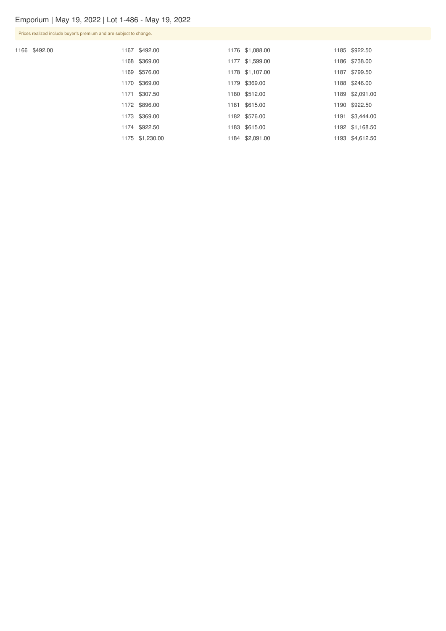Prices realized include buyer's premium and are subject to change.

1166 \$492.00

|  | 1167 \$492.00   | 1176 \$1,088.00 | 1185 \$922.50   |
|--|-----------------|-----------------|-----------------|
|  | 1168 \$369.00   | 1177 \$1,599.00 | 1186 \$738.00   |
|  | 1169 \$576.00   | 1178 \$1,107.00 | 1187 \$799.50   |
|  | 1170 \$369.00   | 1179 \$369.00   | 1188 \$246.00   |
|  | 1171 \$307.50   | 1180 \$512.00   | 1189 \$2,091.00 |
|  | 1172 \$896.00   | 1181 \$615.00   | 1190 \$922.50   |
|  | 1173 \$369.00   | 1182 \$576.00   | 1191 \$3,444.00 |
|  | 1174 \$922.50   | 1183 \$615.00   | 1192 \$1,168.50 |
|  | 1175 \$1,230.00 | 1184 \$2,091.00 | 1193 \$4,612.50 |